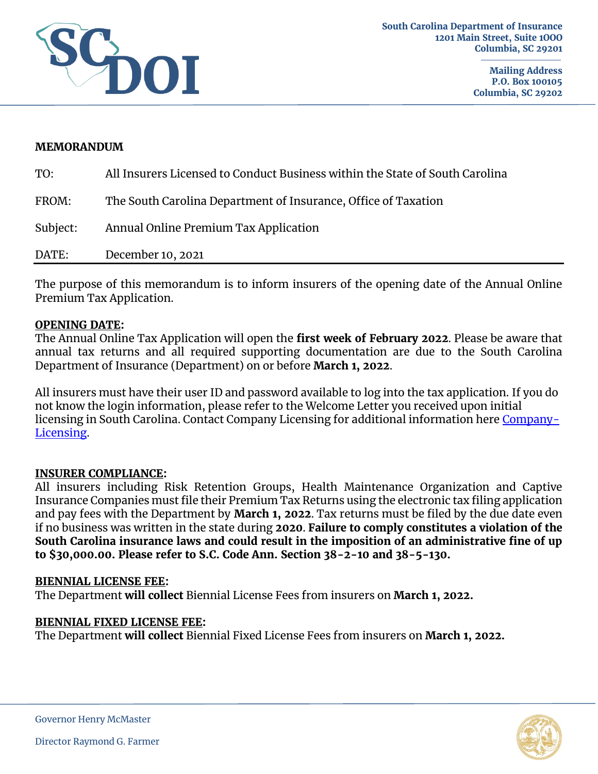

#### **MEMORANDUM**

| TO:      | All Insurers Licensed to Conduct Business within the State of South Carolina |
|----------|------------------------------------------------------------------------------|
| FROM:    | The South Carolina Department of Insurance, Office of Taxation               |
| Subject: | Annual Online Premium Tax Application                                        |
| DATE:    | December 10, 2021                                                            |

The purpose of this memorandum is to inform insurers of the opening date of the Annual Online Premium Tax Application.

#### **OPENING DATE:**

The Annual Online Tax Application will open the **first week of February 2022**. Please be aware that annual tax returns and all required supporting documentation are due to the South Carolina Department of Insurance (Department) on or before **March 1, 2022**.

All insurers must have their user ID and password available to log into the tax application. If you do not know the login information, please refer to the Welcome Letter you received upon initial licensing in South Carolina. Contact Company Licensing for additional information here [Company-](http://www.doi.sc.gov/473/Company-Licensing)[Licensing.](http://www.doi.sc.gov/473/Company-Licensing)

#### **INSURER COMPLIANCE:**

All insurers including Risk Retention Groups, Health Maintenance Organization and Captive Insurance Companies must file their Premium Tax Returns using the electronic tax filing application and pay fees with the Department by **March 1, 2022**. Tax returns must be filed by the due date even if no business was written in the state during **2020**. **Failure to comply constitutes a violation of the South Carolina insurance laws and could result in the imposition of an administrative fine of up to \$30,000.00. Please refer to S.C. Code Ann. Section 38-2-10 and 38-5-130.** 

#### **BIENNIAL LICENSE FEE:**

The Department **will collect** Biennial License Fees from insurers on **March 1, 2022.** 

#### **BIENNIAL FIXED LICENSE FEE:**

The Department **will collect** Biennial Fixed License Fees from insurers on **March 1, 2022.** 

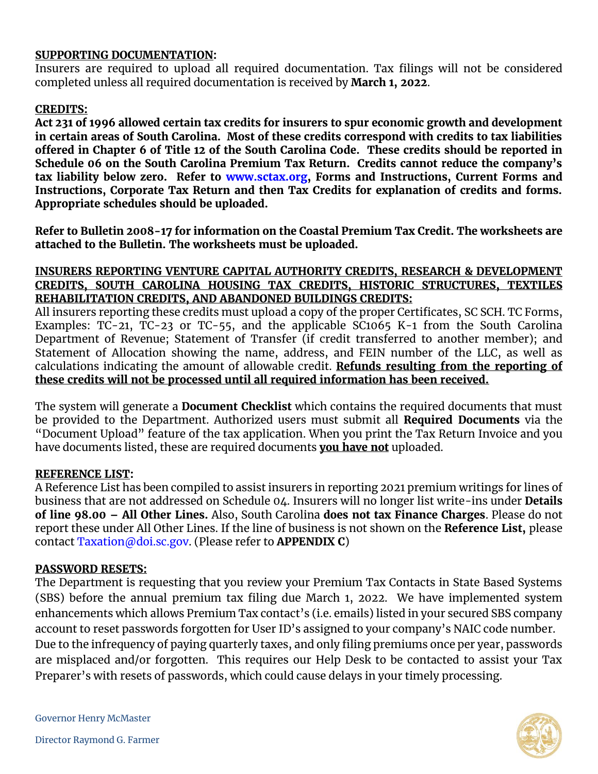## **SUPPORTING DOCUMENTATION:**

Insurers are required to upload all required documentation. Tax filings will not be considered completed unless all required documentation is received by **March 1, 2022**.

## **CREDITS:**

**Act 231 of 1996 allowed certain tax credits for insurers to spur economic growth and development in certain areas of South Carolina. Most of these credits correspond with credits to tax liabilities offered in Chapter 6 of Title 12 of the South Carolina Code. These credits should be reported in Schedule 06 on the South Carolina Premium Tax Return. Credits cannot reduce the company's tax liability below zero. Refer to [www.sctax.org,](http://www.sctax.org/) Forms and Instructions, Current Forms and Instructions, Corporate Tax Return and then Tax Credits for explanation of credits and forms. Appropriate schedules should be uploaded.** 

**Refer to Bulletin 2008-17 for information on the Coastal Premium Tax Credit. The worksheets are attached to the Bulletin. The worksheets must be uploaded.** 

## **INSURERS REPORTING VENTURE CAPITAL AUTHORITY CREDITS, RESEARCH & DEVELOPMENT CREDITS, SOUTH CAROLINA HOUSING TAX CREDITS, HISTORIC STRUCTURES, TEXTILES REHABILITATION CREDITS, AND ABANDONED BUILDINGS CREDITS:**

All insurers reporting these credits must upload a copy of the proper Certificates, SC SCH. TC Forms, Examples: TC-21, TC-23 or TC-55, and the applicable SC1065 K-1 from the South Carolina Department of Revenue; Statement of Transfer (if credit transferred to another member); and Statement of Allocation showing the name, address, and FEIN number of the LLC, as well as calculations indicating the amount of allowable credit. **Refunds resulting from the reporting of these credits will not be processed until all required information has been received.**

The system will generate a **Document Checklist** which contains the required documents that must be provided to the Department. Authorized users must submit all **Required Documents** via the "Document Upload" feature of the tax application. When you print the Tax Return Invoice and you have documents listed, these are required documents **you have not** uploaded.

# **REFERENCE LIST:**

A Reference List has been compiled to assist insurers in reporting 2021 premium writings for lines of business that are not addressed on Schedule 04. Insurers will no longer list write-ins under **Details of line 98.00 – All Other Lines.** Also, South Carolina **does not tax Finance Charges**. Please do not report these under All Other Lines. If the line of business is not shown on the **Reference List,** please contact [Taxation@doi.sc.gov.](mailto:Taxation@doi.sc.gov) (Please refer to **APPENDIX C**)

# **PASSWORD RESETS:**

The Department is requesting that you review your Premium Tax Contacts in State Based Systems (SBS) before the annual premium tax filing due March 1, 2022. We have implemented system enhancements which allows Premium Tax contact's (i.e. emails) listed in your secured SBS company account to reset passwords forgotten for User ID's assigned to your company's NAIC code number. Due to the infrequency of paying quarterly taxes, and only filing premiums once per year, passwords are misplaced and/or forgotten. This requires our Help Desk to be contacted to assist your Tax Preparer's with resets of passwords, which could cause delays in your timely processing.

Governor Henry McMaster



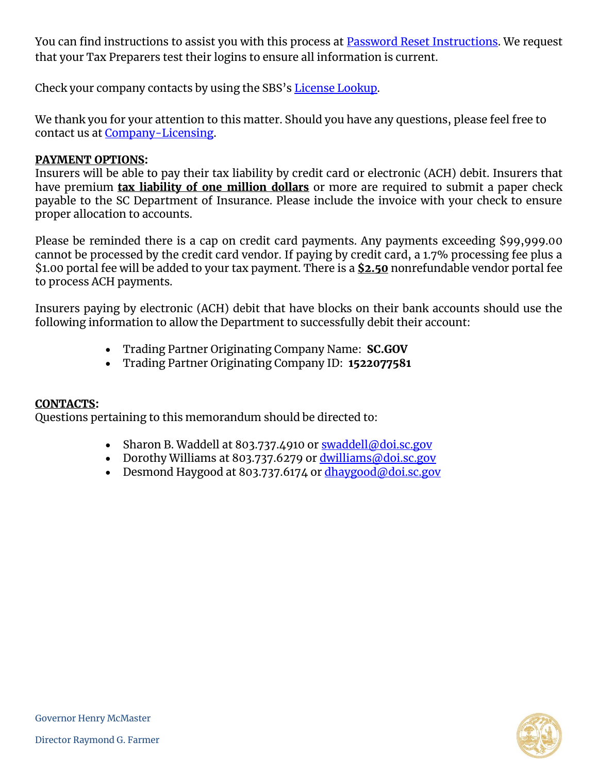You can find instructions to assist you with this process at **Password Reset Instructions**. We request that your Tax Preparers test their logins to ensure all information is current.

Check your company contacts by using the SBS's [License Lookup.](https://sbs.naic.org/solar-external-lookup)

We thank you for your attention to this matter. Should you have any questions, please feel free to contact us at [Company-Licensing.](http://www.doi.sc.gov/473/Company-Licensing)

## **PAYMENT OPTIONS:**

Insurers will be able to pay their tax liability by credit card or electronic (ACH) debit. Insurers that have premium **tax liability of one million dollars** or more are required to submit a paper check payable to the SC Department of Insurance. Please include the invoice with your check to ensure proper allocation to accounts.

Please be reminded there is a cap on credit card payments. Any payments exceeding \$99,999.00 cannot be processed by the credit card vendor. If paying by credit card, a 1.7% processing fee plus a \$1.00 portal fee will be added to your tax payment. There is a **\$2.50** nonrefundable vendor portal fee to process ACH payments.

Insurers paying by electronic (ACH) debit that have blocks on their bank accounts should use the following information to allow the Department to successfully debit their account:

- Trading Partner Originating Company Name: **SC.GOV**
- Trading Partner Originating Company ID: **1522077581**

# **CONTACTS:**

Questions pertaining to this memorandum should be directed to:

- Sharon B. Waddell at 803.737.4910 or [swaddell@doi.sc.gov](mailto:swaddell@doi.sc.gov)
- Dorothy Williams at 803.737.6279 or [dwilliams@doi.sc.gov](mailto:dwilliams@doi.sc.gov)
- Desmond Haygood at 803.737.6174 or [dhaygood@doi.sc.gov](mailto:dhaygood@doi.sc.gov)

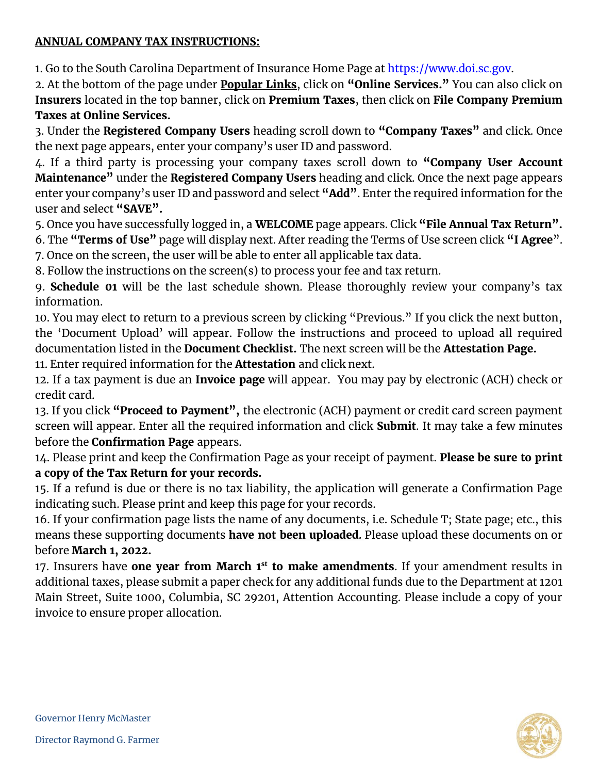# **ANNUAL COMPANY TAX INSTRUCTIONS:**

1. Go to the South Carolina Department of Insurance Home Page at [https://www.doi.sc.gov.](http://doi.sc.gov/)

2. At the bottom of the page under **Popular Links**, click on **"Online Services."** You can also click on **Insurers** located in the top banner, click on **Premium Taxes**, then click on **File Company Premium Taxes at Online Services.**

3. Under the **Registered Company Users** heading scroll down to **"Company Taxes"** and click. Once the next page appears, enter your company's user ID and password.

4. If a third party is processing your company taxes scroll down to **"Company User Account Maintenance"** under the **Registered Company Users** heading and click. Once the next page appears enter your company's user ID and password and select **"Add"**. Enter the required information for the user and select **"SAVE".**

5. Once you have successfully logged in, a **WELCOME** page appears. Click **"File Annual Tax Return".**

6. The **"Terms of Use"** page will display next. After reading the Terms of Use screen click **"I Agree**". 7. Once on the screen, the user will be able to enter all applicable tax data.

8. Follow the instructions on the screen(s) to process your fee and tax return.

9. **Schedule 01** will be the last schedule shown. Please thoroughly review your company's tax information.

10. You may elect to return to a previous screen by clicking "Previous." If you click the next button, the 'Document Upload' will appear. Follow the instructions and proceed to upload all required documentation listed in the **Document Checklist.** The next screen will be the **Attestation Page.** 

11. Enter required information for the **Attestation** and click next.

12. If a tax payment is due an **Invoice page** will appear. You may pay by electronic (ACH) check or credit card.

13. If you click **"Proceed to Payment",** the electronic (ACH) payment or credit card screen payment screen will appear. Enter all the required information and click **Submit**. It may take a few minutes before the **Confirmation Page** appears.

14. Please print and keep the Confirmation Page as your receipt of payment. **Please be sure to print a copy of the Tax Return for your records.**

15. If a refund is due or there is no tax liability, the application will generate a Confirmation Page indicating such. Please print and keep this page for your records.

16. If your confirmation page lists the name of any documents, i.e. Schedule T; State page; etc., this means these supporting documents **have not been uploaded***.* Please upload these documents on or before **March 1, 2022.**

17. Insurers have **one year from March 1st to make amendments**. If your amendment results in additional taxes, please submit a paper check for any additional funds due to the Department at 1201 Main Street, Suite 1000, Columbia, SC 29201, Attention Accounting. Please include a copy of your invoice to ensure proper allocation.

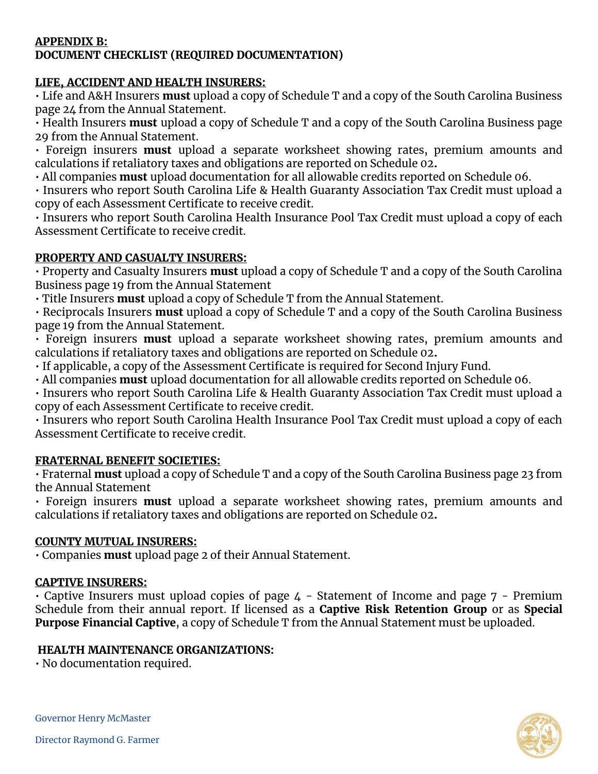#### **APPENDIX B: DOCUMENT CHECKLIST (REQUIRED DOCUMENTATION)**

# **LIFE, ACCIDENT AND HEALTH INSURERS:**

• Life and A&H Insurers **must** upload a copy of Schedule T and a copy of the South Carolina Business page 24 from the Annual Statement.

• Health Insurers **must** upload a copy of Schedule T and a copy of the South Carolina Business page 29 from the Annual Statement.

• Foreign insurers **must** upload a separate worksheet showing rates, premium amounts and calculations if retaliatory taxes and obligations are reported on Schedule 02**.**

• All companies **must** upload documentation for all allowable credits reported on Schedule 06.

• Insurers who report South Carolina Life & Health Guaranty Association Tax Credit must upload a copy of each Assessment Certificate to receive credit.

• Insurers who report South Carolina Health Insurance Pool Tax Credit must upload a copy of each Assessment Certificate to receive credit.

# **PROPERTY AND CASUALTY INSURERS:**

• Property and Casualty Insurers **must** upload a copy of Schedule T and a copy of the South Carolina Business page 19 from the Annual Statement

• Title Insurers **must** upload a copy of Schedule T from the Annual Statement.

• Reciprocals Insurers **must** upload a copy of Schedule T and a copy of the South Carolina Business page 19 from the Annual Statement.

• Foreign insurers **must** upload a separate worksheet showing rates, premium amounts and calculations if retaliatory taxes and obligations are reported on Schedule 02**.**

• If applicable, a copy of the Assessment Certificate is required for Second Injury Fund.

• All companies **must** upload documentation for all allowable credits reported on Schedule 06.

• Insurers who report South Carolina Life & Health Guaranty Association Tax Credit must upload a copy of each Assessment Certificate to receive credit.

• Insurers who report South Carolina Health Insurance Pool Tax Credit must upload a copy of each Assessment Certificate to receive credit.

# **FRATERNAL BENEFIT SOCIETIES:**

• Fraternal **must** upload a copy of Schedule T and a copy of the South Carolina Business page 23 from the Annual Statement

• Foreign insurers **must** upload a separate worksheet showing rates, premium amounts and calculations if retaliatory taxes and obligations are reported on Schedule 02**.**

# **COUNTY MUTUAL INSURERS:**

• Companies **must** upload page 2 of their Annual Statement.

# **CAPTIVE INSURERS:**

• Captive Insurers must upload copies of page 4 - Statement of Income and page 7 - Premium Schedule from their annual report. If licensed as a **Captive Risk Retention Group** or as **Special Purpose Financial Captive**, a copy of Schedule T from the Annual Statement must be uploaded.

# **HEALTH MAINTENANCE ORGANIZATIONS:**

• No documentation required.

Governor Henry McMaster